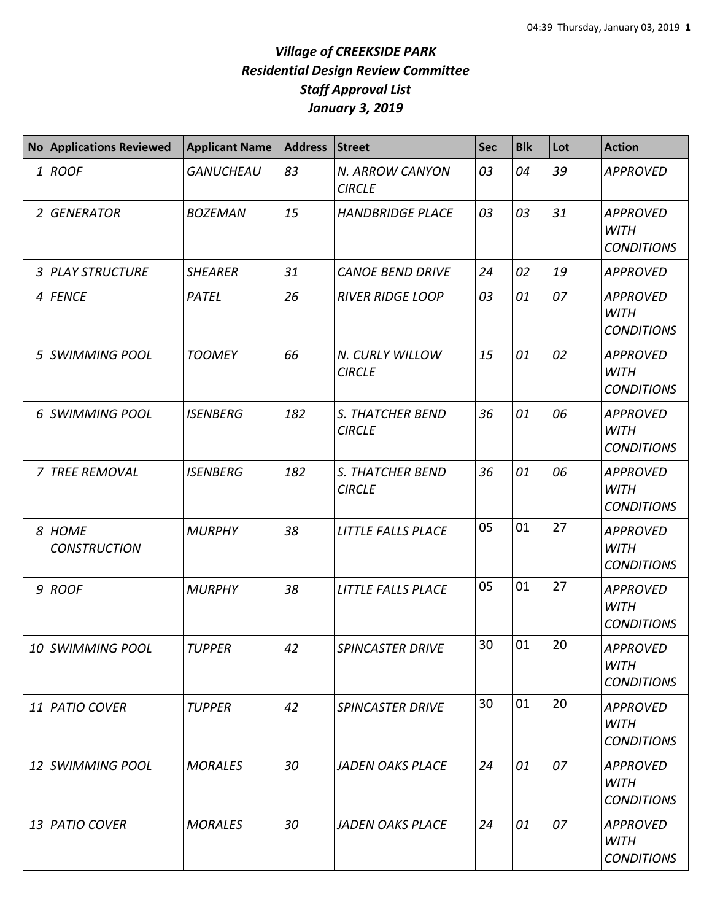## *Village of CREEKSIDE PARK Residential Design Review Committee Staff Approval List January 3, 2019*

|                | <b>No Applications Reviewed</b>    | <b>Applicant Name</b> | <b>Address</b> | <b>Street</b>                            | <b>Sec</b> | <b>Blk</b> | Lot | <b>Action</b>                                       |
|----------------|------------------------------------|-----------------------|----------------|------------------------------------------|------------|------------|-----|-----------------------------------------------------|
| $\mathbf{1}$   | <b>ROOF</b>                        | <b>GANUCHEAU</b>      | 83             | N. ARROW CANYON<br><b>CIRCLE</b>         | 03         | 04         | 39  | <b>APPROVED</b>                                     |
| $\overline{2}$ | <b>GENERATOR</b>                   | <b>BOZEMAN</b>        | 15             | <b>HANDBRIDGE PLACE</b>                  | 03         | 03         | 31  | <b>APPROVED</b><br><b>WITH</b><br><b>CONDITIONS</b> |
| $\mathfrak{Z}$ | <b>PLAY STRUCTURE</b>              | <b>SHEARER</b>        | 31             | <b>CANOE BEND DRIVE</b>                  | 24         | 02         | 19  | <b>APPROVED</b>                                     |
| 4              | <b>FENCE</b>                       | PATEL                 | 26             | <b>RIVER RIDGE LOOP</b>                  | 03         | 01         | 07  | <b>APPROVED</b><br><b>WITH</b><br><b>CONDITIONS</b> |
| 5              | <b>SWIMMING POOL</b>               | <b>TOOMEY</b>         | 66             | N. CURLY WILLOW<br><b>CIRCLE</b>         | 15         | 01         | 02  | <b>APPROVED</b><br><b>WITH</b><br><b>CONDITIONS</b> |
| 6              | <b>SWIMMING POOL</b>               | <b>ISENBERG</b>       | 182            | <b>S. THATCHER BEND</b><br><b>CIRCLE</b> | 36         | 01         | 06  | <b>APPROVED</b><br><b>WITH</b><br><b>CONDITIONS</b> |
| 7              | <b>TREE REMOVAL</b>                | <b>ISENBERG</b>       | 182            | S. THATCHER BEND<br><b>CIRCLE</b>        | 36         | 01         | 06  | <b>APPROVED</b><br><b>WITH</b><br><b>CONDITIONS</b> |
| 8              | <b>HOME</b><br><b>CONSTRUCTION</b> | <b>MURPHY</b>         | 38             | LITTLE FALLS PLACE                       | 05         | 01         | 27  | <b>APPROVED</b><br><b>WITH</b><br><b>CONDITIONS</b> |
| 9              | <b>ROOF</b>                        | <b>MURPHY</b>         | 38             | LITTLE FALLS PLACE                       | 05         | 01         | 27  | <b>APPROVED</b><br><b>WITH</b><br><b>CONDITIONS</b> |
|                | 10 SWIMMING POOL                   | <b>TUPPER</b>         | 42             | <b>SPINCASTER DRIVE</b>                  | 30         | 01         | 20  | <b>APPROVED</b><br><b>WITH</b><br><b>CONDITIONS</b> |
|                | 11 PATIO COVER                     | <b>TUPPER</b>         | 42             | <b>SPINCASTER DRIVE</b>                  | 30         | 01         | 20  | <b>APPROVED</b><br><b>WITH</b><br><b>CONDITIONS</b> |
|                | 12 SWIMMING POOL                   | <b>MORALES</b>        | 30             | <b>JADEN OAKS PLACE</b>                  | 24         | 01         | 07  | APPROVED<br><b>WITH</b><br><b>CONDITIONS</b>        |
| 13 I           | <b>PATIO COVER</b>                 | <b>MORALES</b>        | 30             | <b>JADEN OAKS PLACE</b>                  | 24         | 01         | 07  | <b>APPROVED</b><br>WITH<br><b>CONDITIONS</b>        |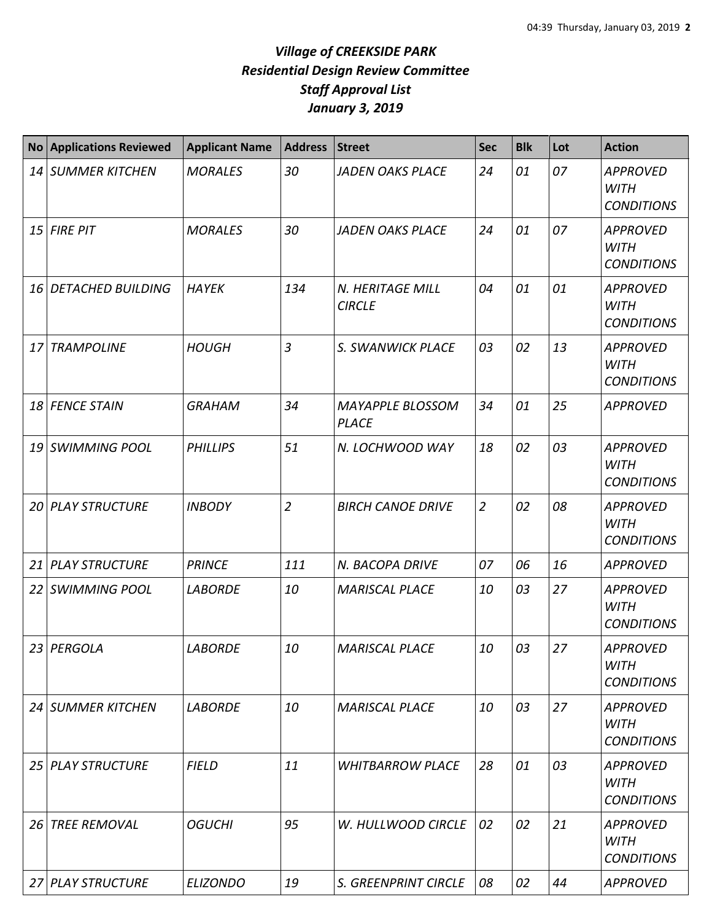## *Village of CREEKSIDE PARK Residential Design Review Committee Staff Approval List January 3, 2019*

| No <sub>1</sub> | <b>Applications Reviewed</b> | <b>Applicant Name</b> | <b>Address</b> | <b>Street</b>                           | <b>Sec</b>     | <b>Blk</b> | Lot | <b>Action</b>                                       |
|-----------------|------------------------------|-----------------------|----------------|-----------------------------------------|----------------|------------|-----|-----------------------------------------------------|
|                 | 14 SUMMER KITCHEN            | <b>MORALES</b>        | 30             | <b>JADEN OAKS PLACE</b>                 | 24             | 01         | 07  | <b>APPROVED</b><br><b>WITH</b><br><b>CONDITIONS</b> |
|                 | $15$ FIRE PIT                | <b>MORALES</b>        | 30             | <b>JADEN OAKS PLACE</b>                 | 24             | 01         | 07  | <b>APPROVED</b><br><b>WITH</b><br><b>CONDITIONS</b> |
| 16 I            | <b>DETACHED BUILDING</b>     | <b>HAYEK</b>          | 134            | N. HERITAGE MILL<br><b>CIRCLE</b>       | 04             | 01         | 01  | <b>APPROVED</b><br><b>WITH</b><br><b>CONDITIONS</b> |
| 17              | <b>TRAMPOLINE</b>            | <b>HOUGH</b>          | 3              | S. SWANWICK PLACE                       | 03             | 02         | 13  | <b>APPROVED</b><br><b>WITH</b><br><b>CONDITIONS</b> |
|                 | 18 FENCE STAIN               | <b>GRAHAM</b>         | 34             | <b>MAYAPPLE BLOSSOM</b><br><b>PLACE</b> | 34             | 01         | 25  | <b>APPROVED</b>                                     |
|                 | 19 SWIMMING POOL             | <b>PHILLIPS</b>       | 51             | N. LOCHWOOD WAY                         | 18             | 02         | 03  | <b>APPROVED</b><br><b>WITH</b><br><b>CONDITIONS</b> |
|                 | <b>20 PLAY STRUCTURE</b>     | <b>INBODY</b>         | $\overline{2}$ | <b>BIRCH CANOE DRIVE</b>                | $\overline{2}$ | 02         | 08  | <b>APPROVED</b><br><b>WITH</b><br><b>CONDITIONS</b> |
|                 | 21 PLAY STRUCTURE            | <b>PRINCE</b>         | 111            | N. BACOPA DRIVE                         | 07             | 06         | 16  | <b>APPROVED</b>                                     |
|                 | 22 SWIMMING POOL             | <b>LABORDE</b>        | 10             | <b>MARISCAL PLACE</b>                   | 10             | 03         | 27  | <b>APPROVED</b><br><b>WITH</b><br><b>CONDITIONS</b> |
|                 | 23 PERGOLA                   | <b>LABORDE</b>        | 10             | <b>MARISCAL PLACE</b>                   | 10             | 03         | 27  | <b>APPROVED</b><br><b>WITH</b><br><b>CONDITIONS</b> |
|                 | 24 SUMMER KITCHEN            | <b>LABORDE</b>        | 10             | <b>MARISCAL PLACE</b>                   | 10             | 03         | 27  | <b>APPROVED</b><br>WITH<br><b>CONDITIONS</b>        |
|                 | 25 PLAY STRUCTURE            | <b>FIELD</b>          | 11             | <b>WHITBARROW PLACE</b>                 | 28             | 01         | 03  | <b>APPROVED</b><br><b>WITH</b><br><b>CONDITIONS</b> |
|                 | 26 TREE REMOVAL              | <b>OGUCHI</b>         | 95             | W. HULLWOOD CIRCLE                      | 02             | 02         | 21  | <b>APPROVED</b><br>WITH<br><b>CONDITIONS</b>        |
|                 | 27 PLAY STRUCTURE            | <b>ELIZONDO</b>       | 19             | S. GREENPRINT CIRCLE                    | 08             | 02         | 44  | <b>APPROVED</b>                                     |